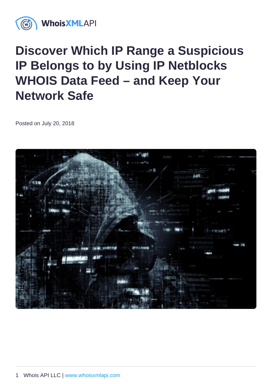## Discover Which IP Range a Suspicious IP Belongs to by Using IP Netblocks WHOIS Data Feed – and Keep Your Network Safe

Posted on July 20, 2018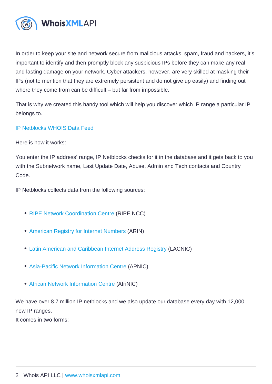In order to keep your site and network secure from malicious attacks, spam, fraud and hackers, it's important to identify and then promptly block any suspicious IPs before they can make any real and lasting damage on your network. Cyber attackers, however, are very skilled at masking their IPs (not to mention that they are extremely persistent and do not give up easily) and finding out where they come from can be difficult – but far from impossible.

That is why we created this handy tool which will help you discover which IP range a particular IP belongs to.

## [IP Netblocks WHOIS Data Feed](https://ip-netblocks-whois-database.whoisxmlapi.com)

Here is how it works:

You enter the IP address' range, IP Netblocks checks for it in the database and it gets back to you with the Subnetwork name, Last Update Date, Abuse, Admin and Tech contacts and Country Code.

IP Netblocks collects data from the following sources:

- [RIPE Network Coordination Centre](https://www.ripe.net) (RIPE NCC)
- [American Registry for Internet Numbers](https://www.arin.net) (ARIN)
- [Latin American and Caribbean Internet Address Registry](https://www.lacnic.net) (LACNIC)
- [Asia-Pacific Network Information Centre](https://www.apnic.net) (APNIC)
- [African Network Information Centre](https://www.afrinic.net) (AfriNIC)

We have over 8.7 million IP netblocks and we also update our database every day with 12,000 new IP ranges.

It comes in two forms: